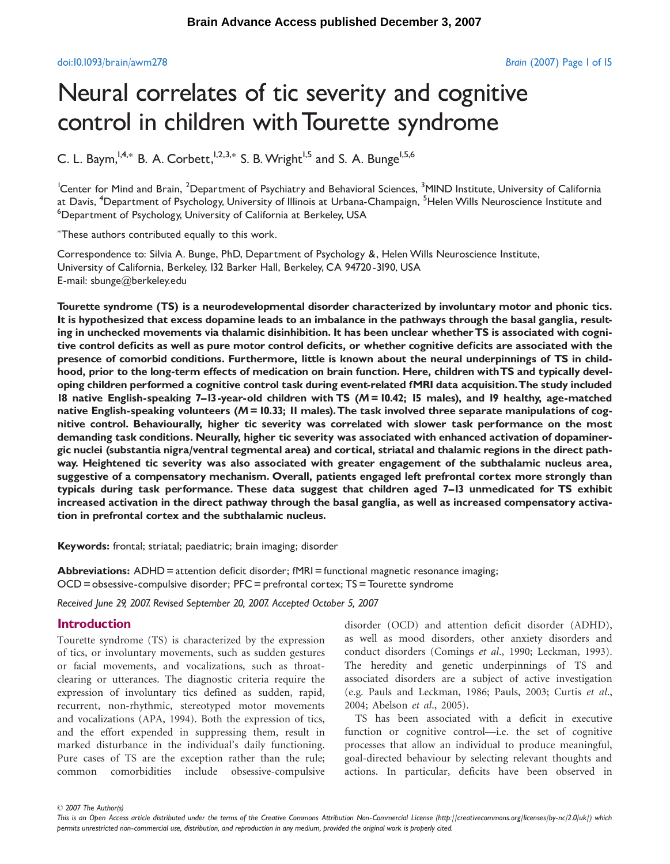# Neural correlates of tic severity and cognitive control in children with Tourette syndrome

C. L. Baym,  $1,4,*$  B. A. Corbett,  $1,2,3,*$  S. B. Wright<sup>1,5</sup> and S. A. Bunge<sup>1,5,6</sup>

<sup>1</sup>Center for Mind and Brain, <sup>2</sup>Department of Psychiatry and Behavioral Sciences, <sup>3</sup>MIND Institute, University of California at Davis, <sup>4</sup>Department of Psychology, University of Illinois at Urbana-Champaign, <sup>5</sup>Helen Wills Neuroscience Institute and 6 Department of Psychology, University of California at Berkeley, USA

These authors contributed equally to this work.

Correspondence to: Silvia A. Bunge, PhD, Department of Psychology &, Helen Wills Neuroscience Institute, University of California, Berkeley, 132 Barker Hall, Berkeley, CA 94720 -3190, USA E-mail: sbunge@berkeley.edu

Tourette syndrome (TS) is a neurodevelopmental disorder characterized by involuntary motor and phonic tics. It is hypothesized that excess dopamine leads to an imbalance in the pathways through the basal ganglia, resulting in unchecked movements via thalamic disinhibition. It has been unclear whetherTS is associated with cognitive control deficits as well as pure motor control deficits, or whether cognitive deficits are associated with the presence of comorbid conditions. Furthermore, little is known about the neural underpinnings of TS in childhood, prior to the long-term effects of medication on brain function. Here, children withTS and typically developing children performed a cognitive control task during event-related fMRI data acquisition.The study included 18 native English-speaking 7-13-year-old children with TS (M = 10.42; 15 males), and 19 healthy, age-matched native English-speaking volunteers ( $M = 10.33$ ; 11 males). The task involved three separate manipulations of cognitive control. Behaviourally, higher tic severity was correlated with slower task performance on the most demanding task conditions. Neurally, higher tic severity was associated with enhanced activation of dopaminergic nuclei (substantia nigra/ventral tegmental area) and cortical, striatal and thalamic regions in the direct pathway. Heightened tic severity was also associated with greater engagement of the subthalamic nucleus area, suggestive of a compensatory mechanism. Overall, patients engaged left prefrontal cortex more strongly than typicals during task performance. These data suggest that children aged 7–13 unmedicated for TS exhibit increased activation in the direct pathway through the basal ganglia, as well as increased compensatory activation in prefrontal cortex and the subthalamic nucleus.

Keywords: frontal; striatal; paediatric; brain imaging; disorder

Abbreviations: ADHD = attention deficit disorder; fMRI = functional magnetic resonance imaging; OCD = obsessive-compulsive disorder; PFC = prefrontal cortex; TS = Tourette syndrome

Received June 29, 2007. Revised September 20, 2007. Accepted October 5, 2007

# Introduction

Tourette syndrome (TS) is characterized by the expression of tics, or involuntary movements, such as sudden gestures or facial movements, and vocalizations, such as throatclearing or utterances. The diagnostic criteria require the expression of involuntary tics defined as sudden, rapid, recurrent, non-rhythmic, stereotyped motor movements and vocalizations (APA, 1994). Both the expression of tics, and the effort expended in suppressing them, result in marked disturbance in the individual's daily functioning. Pure cases of TS are the exception rather than the rule; common comorbidities include obsessive-compulsive

disorder (OCD) and attention deficit disorder (ADHD), as well as mood disorders, other anxiety disorders and conduct disorders (Comings et al., 1990; Leckman, 1993). The heredity and genetic underpinnings of TS and associated disorders are a subject of active investigation (e.g. Pauls and Leckman, 1986; Pauls, 2003; Curtis et al., 2004; Abelson et al., 2005).

TS has been associated with a deficit in executive function or cognitive control—i.e. the set of cognitive processes that allow an individual to produce meaningful, goal-directed behaviour by selecting relevant thoughts and actions. In particular, deficits have been observed in

2007 The Author(s)

This is an Open Access article distributed under the terms of the Creative Commons Attribution Non-Commercial License [\(http://creativecommons.org/licenses/by-nc/2.0/uk/\)](http://creativecommons.org/licenses/by-nc/2.0/uk/) which permits unrestricted non-commercial use, distribution, and reproduction in any medium, provided the original work is properly cited.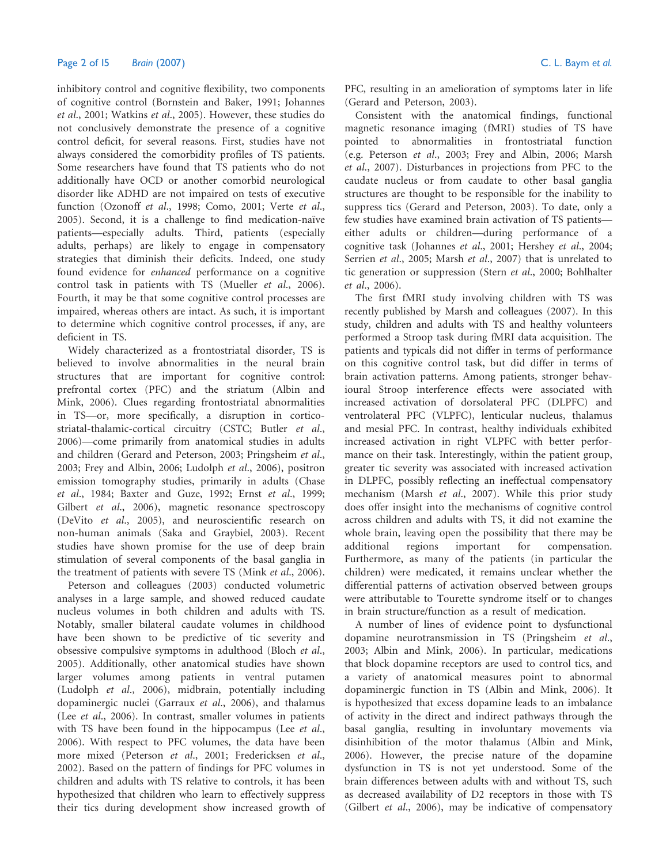inhibitory control and cognitive flexibility, two components of cognitive control (Bornstein and Baker, 1991; Johannes et al., 2001; Watkins et al., 2005). However, these studies do not conclusively demonstrate the presence of a cognitive control deficit, for several reasons. First, studies have not always considered the comorbidity profiles of TS patients. Some researchers have found that TS patients who do not additionally have OCD or another comorbid neurological disorder like ADHD are not impaired on tests of executive function (Ozonoff et al., 1998; Como, 2001; Verte et al., 2005). Second, it is a challenge to find medication-naïve patients—especially adults. Third, patients (especially adults, perhaps) are likely to engage in compensatory strategies that diminish their deficits. Indeed, one study found evidence for enhanced performance on a cognitive control task in patients with TS (Mueller et al., 2006). Fourth, it may be that some cognitive control processes are impaired, whereas others are intact. As such, it is important to determine which cognitive control processes, if any, are deficient in TS.

Widely characterized as a frontostriatal disorder, TS is believed to involve abnormalities in the neural brain structures that are important for cognitive control: prefrontal cortex (PFC) and the striatum (Albin and Mink, 2006). Clues regarding frontostriatal abnormalities in TS—or, more specifically, a disruption in corticostriatal-thalamic-cortical circuitry (CSTC; Butler et al., 2006)—come primarily from anatomical studies in adults and children (Gerard and Peterson, 2003; Pringsheim et al., 2003; Frey and Albin, 2006; Ludolph et al., 2006), positron emission tomography studies, primarily in adults (Chase et al., 1984; Baxter and Guze, 1992; Ernst et al., 1999; Gilbert et al., 2006), magnetic resonance spectroscopy (DeVito et al., 2005), and neuroscientific research on non-human animals (Saka and Graybiel, 2003). Recent studies have shown promise for the use of deep brain stimulation of several components of the basal ganglia in the treatment of patients with severe TS (Mink et al., 2006).

Peterson and colleagues (2003) conducted volumetric analyses in a large sample, and showed reduced caudate nucleus volumes in both children and adults with TS. Notably, smaller bilateral caudate volumes in childhood have been shown to be predictive of tic severity and obsessive compulsive symptoms in adulthood (Bloch et al., 2005). Additionally, other anatomical studies have shown larger volumes among patients in ventral putamen (Ludolph et al., 2006), midbrain, potentially including dopaminergic nuclei (Garraux et al., 2006), and thalamus (Lee et al., 2006). In contrast, smaller volumes in patients with TS have been found in the hippocampus (Lee et al., 2006). With respect to PFC volumes, the data have been more mixed (Peterson et al., 2001; Fredericksen et al., 2002). Based on the pattern of findings for PFC volumes in children and adults with TS relative to controls, it has been hypothesized that children who learn to effectively suppress their tics during development show increased growth of PFC, resulting in an amelioration of symptoms later in life (Gerard and Peterson, 2003).

Consistent with the anatomical findings, functional magnetic resonance imaging (fMRI) studies of TS have pointed to abnormalities in frontostriatal function (e.g. Peterson et al., 2003; Frey and Albin, 2006; Marsh et al., 2007). Disturbances in projections from PFC to the caudate nucleus or from caudate to other basal ganglia structures are thought to be responsible for the inability to suppress tics (Gerard and Peterson, 2003). To date, only a few studies have examined brain activation of TS patients either adults or children—during performance of a cognitive task (Johannes et al., 2001; Hershey et al., 2004; Serrien et al., 2005; Marsh et al., 2007) that is unrelated to tic generation or suppression (Stern et al., 2000; Bohlhalter et al., 2006).

The first fMRI study involving children with TS was recently published by Marsh and colleagues (2007). In this study, children and adults with TS and healthy volunteers performed a Stroop task during fMRI data acquisition. The patients and typicals did not differ in terms of performance on this cognitive control task, but did differ in terms of brain activation patterns. Among patients, stronger behavioural Stroop interference effects were associated with increased activation of dorsolateral PFC (DLPFC) and ventrolateral PFC (VLPFC), lenticular nucleus, thalamus and mesial PFC. In contrast, healthy individuals exhibited increased activation in right VLPFC with better performance on their task. Interestingly, within the patient group, greater tic severity was associated with increased activation in DLPFC, possibly reflecting an ineffectual compensatory mechanism (Marsh et al., 2007). While this prior study does offer insight into the mechanisms of cognitive control across children and adults with TS, it did not examine the whole brain, leaving open the possibility that there may be additional regions important for compensation. Furthermore, as many of the patients (in particular the children) were medicated, it remains unclear whether the differential patterns of activation observed between groups were attributable to Tourette syndrome itself or to changes in brain structure/function as a result of medication.

A number of lines of evidence point to dysfunctional dopamine neurotransmission in TS (Pringsheim et al., 2003; Albin and Mink, 2006). In particular, medications that block dopamine receptors are used to control tics, and a variety of anatomical measures point to abnormal dopaminergic function in TS (Albin and Mink, 2006). It is hypothesized that excess dopamine leads to an imbalance of activity in the direct and indirect pathways through the basal ganglia, resulting in involuntary movements via disinhibition of the motor thalamus (Albin and Mink, 2006). However, the precise nature of the dopamine dysfunction in TS is not yet understood. Some of the brain differences between adults with and without TS, such as decreased availability of D2 receptors in those with TS (Gilbert et al., 2006), may be indicative of compensatory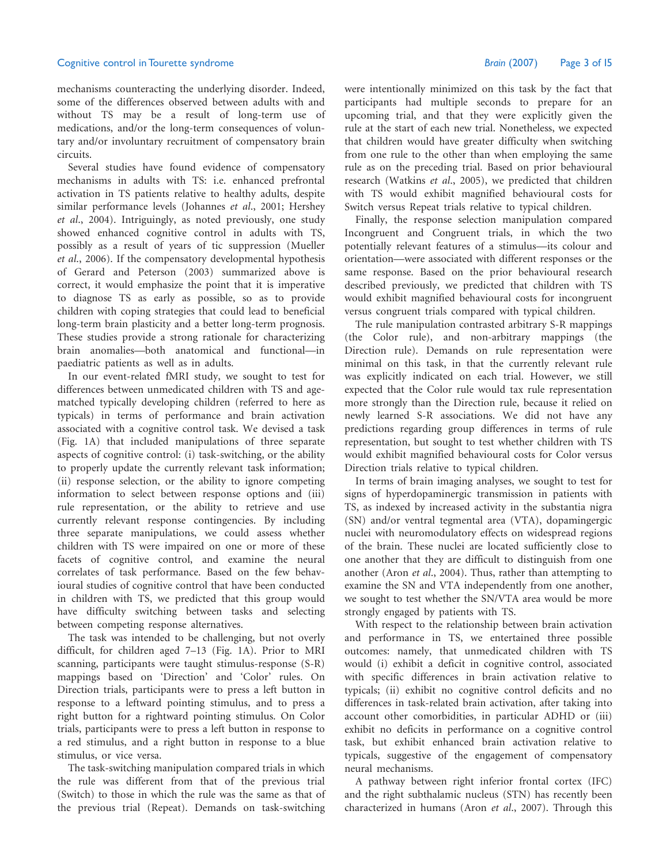#### Cognitive control in Tourette syndrome Cognitive Cognitive Cognitive Cognitive Cognitive Cognitive Control in Tourette syndrome

mechanisms counteracting the underlying disorder. Indeed, some of the differences observed between adults with and without TS may be a result of long-term use of medications, and/or the long-term consequences of voluntary and/or involuntary recruitment of compensatory brain circuits.

Several studies have found evidence of compensatory mechanisms in adults with TS: i.e. enhanced prefrontal activation in TS patients relative to healthy adults, despite similar performance levels (Johannes et al., 2001; Hershey et al., 2004). Intriguingly, as noted previously, one study showed enhanced cognitive control in adults with TS, possibly as a result of years of tic suppression (Mueller et al., 2006). If the compensatory developmental hypothesis of Gerard and Peterson (2003) summarized above is correct, it would emphasize the point that it is imperative to diagnose TS as early as possible, so as to provide children with coping strategies that could lead to beneficial long-term brain plasticity and a better long-term prognosis. These studies provide a strong rationale for characterizing brain anomalies—both anatomical and functional—in paediatric patients as well as in adults.

In our event-related fMRI study, we sought to test for differences between unmedicated children with TS and agematched typically developing children (referred to here as typicals) in terms of performance and brain activation associated with a cognitive control task. We devised a task (Fig. 1A) that included manipulations of three separate aspects of cognitive control: (i) task-switching, or the ability to properly update the currently relevant task information; (ii) response selection, or the ability to ignore competing information to select between response options and (iii) rule representation, or the ability to retrieve and use currently relevant response contingencies. By including three separate manipulations, we could assess whether children with TS were impaired on one or more of these facets of cognitive control, and examine the neural correlates of task performance. Based on the few behavioural studies of cognitive control that have been conducted in children with TS, we predicted that this group would have difficulty switching between tasks and selecting between competing response alternatives.

The task was intended to be challenging, but not overly difficult, for children aged 7–13 (Fig. 1A). Prior to MRI scanning, participants were taught stimulus-response (S-R) mappings based on 'Direction' and 'Color' rules. On Direction trials, participants were to press a left button in response to a leftward pointing stimulus, and to press a right button for a rightward pointing stimulus. On Color trials, participants were to press a left button in response to a red stimulus, and a right button in response to a blue stimulus, or vice versa.

The task-switching manipulation compared trials in which the rule was different from that of the previous trial (Switch) to those in which the rule was the same as that of the previous trial (Repeat). Demands on task-switching

were intentionally minimized on this task by the fact that participants had multiple seconds to prepare for an upcoming trial, and that they were explicitly given the rule at the start of each new trial. Nonetheless, we expected that children would have greater difficulty when switching from one rule to the other than when employing the same rule as on the preceding trial. Based on prior behavioural research (Watkins et al., 2005), we predicted that children with TS would exhibit magnified behavioural costs for Switch versus Repeat trials relative to typical children.

Finally, the response selection manipulation compared Incongruent and Congruent trials, in which the two potentially relevant features of a stimulus—its colour and orientation—were associated with different responses or the same response. Based on the prior behavioural research described previously, we predicted that children with TS would exhibit magnified behavioural costs for incongruent versus congruent trials compared with typical children.

The rule manipulation contrasted arbitrary S-R mappings (the Color rule), and non-arbitrary mappings (the Direction rule). Demands on rule representation were minimal on this task, in that the currently relevant rule was explicitly indicated on each trial. However, we still expected that the Color rule would tax rule representation more strongly than the Direction rule, because it relied on newly learned S-R associations. We did not have any predictions regarding group differences in terms of rule representation, but sought to test whether children with TS would exhibit magnified behavioural costs for Color versus Direction trials relative to typical children.

In terms of brain imaging analyses, we sought to test for signs of hyperdopaminergic transmission in patients with TS, as indexed by increased activity in the substantia nigra (SN) and/or ventral tegmental area (VTA), dopamingergic nuclei with neuromodulatory effects on widespread regions of the brain. These nuclei are located sufficiently close to one another that they are difficult to distinguish from one another (Aron et al., 2004). Thus, rather than attempting to examine the SN and VTA independently from one another, we sought to test whether the SN/VTA area would be more strongly engaged by patients with TS.

With respect to the relationship between brain activation and performance in TS, we entertained three possible outcomes: namely, that unmedicated children with TS would (i) exhibit a deficit in cognitive control, associated with specific differences in brain activation relative to typicals; (ii) exhibit no cognitive control deficits and no differences in task-related brain activation, after taking into account other comorbidities, in particular ADHD or (iii) exhibit no deficits in performance on a cognitive control task, but exhibit enhanced brain activation relative to typicals, suggestive of the engagement of compensatory neural mechanisms.

A pathway between right inferior frontal cortex (IFC) and the right subthalamic nucleus (STN) has recently been characterized in humans (Aron et al., 2007). Through this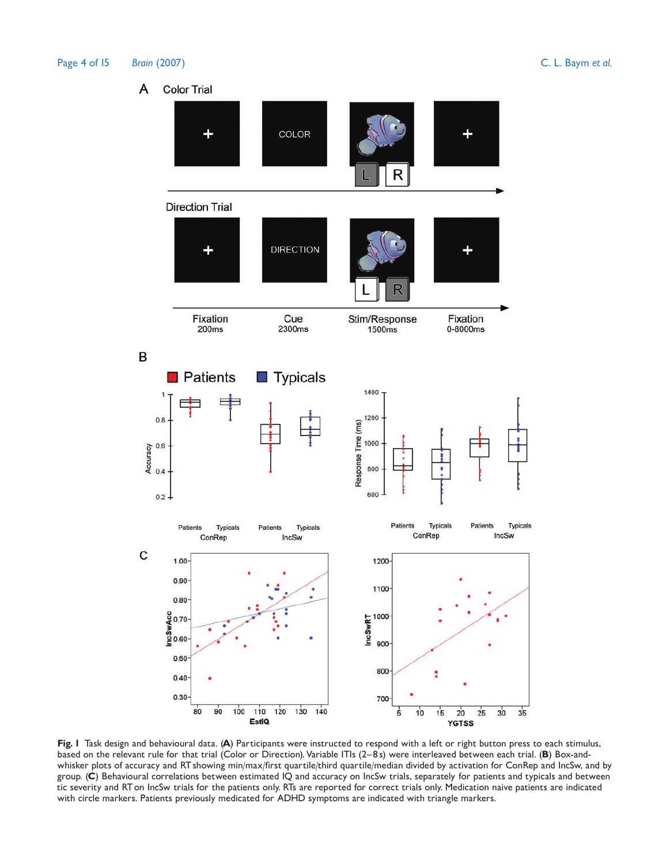## Page 4 of 15 Brain (2007) C. L. Baym et al.

Α **Color Trial** COLOR ÷ R **Direction Trial DIRECTION** 4 R Cue **Fixation** Stim/Response Fixation 2300ms 0-8000ms **200ms** 1500ms B  $\blacksquare$  Patients **Typicals** 1400 1200  $0.8$ Response Time (ms) Accuracy<br>0.4 1000 800 600  $0.2$ Patients Typicals Patients Typicals Patients Typicals **Patients Typicals** ConRep IncSw ConRep IncSw  $\mathsf{C}$  $1.00 -$ 1200 0.90 1100 0.80 **LESWAGE**<br>10.60 IncSwRT<br>900 0.50 800 ÷  $0.40$ 0.30 700  $80$ 90 100 110  $120$ 130 140  $\overline{5}$  $10$  $15$  $20$  $25$  $30$  $35$ EstlQ **YGTSS** 

Fig. I Task design and behavioural data. (A) Participants were instructed to respond with a left or right button press to each stimulus, based on the relevant rule for that trial (Color or Direction). Variable ITIs (2-8s) were interleaved between each trial. (B) Box-andwhisker plots of accuracy and RT showing min/max/first quartile/third quartile/median divided by activation for ConRep and IncSw, and by group. (C) Behavioural correlations between estimated IQ and accuracy on IncSw trials, separately for patients and typicals and between tic severity and RT on IncSw trials for the patients only. RTs are reported for correct trials only. Medication naive patients are indicated with circle markers. Patients previously medicated for ADHD symptoms are indicated with triangle markers.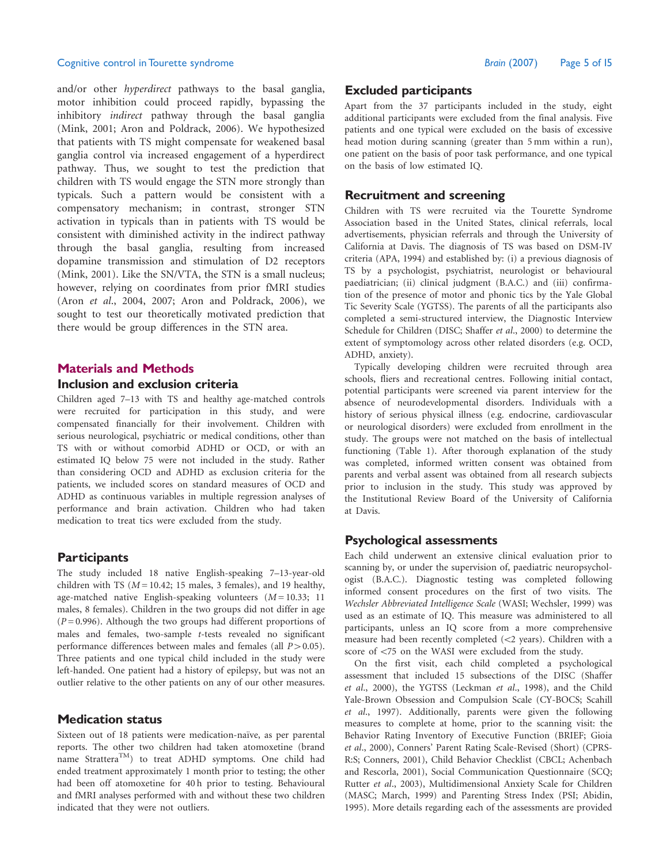#### Cognitive control in Tourette syndrome Cognitive Cognitive Cognitive Cognitive Control in Tourette syndrome

and/or other hyperdirect pathways to the basal ganglia, motor inhibition could proceed rapidly, bypassing the inhibitory indirect pathway through the basal ganglia (Mink, 2001; Aron and Poldrack, 2006). We hypothesized that patients with TS might compensate for weakened basal ganglia control via increased engagement of a hyperdirect pathway. Thus, we sought to test the prediction that children with TS would engage the STN more strongly than typicals. Such a pattern would be consistent with a compensatory mechanism; in contrast, stronger STN activation in typicals than in patients with TS would be consistent with diminished activity in the indirect pathway through the basal ganglia, resulting from increased dopamine transmission and stimulation of D2 receptors (Mink, 2001). Like the SN/VTA, the STN is a small nucleus; however, relying on coordinates from prior fMRI studies (Aron et al., 2004, 2007; Aron and Poldrack, 2006), we sought to test our theoretically motivated prediction that there would be group differences in the STN area.

# Materials and Methods Inclusion and exclusion criteria

Children aged 7–13 with TS and healthy age-matched controls were recruited for participation in this study, and were compensated financially for their involvement. Children with serious neurological, psychiatric or medical conditions, other than TS with or without comorbid ADHD or OCD, or with an estimated IQ below 75 were not included in the study. Rather than considering OCD and ADHD as exclusion criteria for the patients, we included scores on standard measures of OCD and ADHD as continuous variables in multiple regression analyses of performance and brain activation. Children who had taken medication to treat tics were excluded from the study.

## **Participants**

The study included 18 native English-speaking 7–13-year-old children with TS ( $M = 10.42$ ; 15 males, 3 females), and 19 healthy, age-matched native English-speaking volunteers  $(M = 10.33; 11)$ males, 8 females). Children in the two groups did not differ in age  $(P=0.996)$ . Although the two groups had different proportions of males and females, two-sample t-tests revealed no significant performance differences between males and females (all  $P > 0.05$ ). Three patients and one typical child included in the study were left-handed. One patient had a history of epilepsy, but was not an outlier relative to the other patients on any of our other measures.

## Medication status

Sixteen out of 18 patients were medication-naïve, as per parental reports. The other two children had taken atomoxetine (brand name Strattera<sup>TM</sup>) to treat ADHD symptoms. One child had ended treatment approximately 1 month prior to testing; the other had been off atomoxetine for 40 h prior to testing. Behavioural and fMRI analyses performed with and without these two children indicated that they were not outliers.

## Excluded participants

Apart from the 37 participants included in the study, eight additional participants were excluded from the final analysis. Five patients and one typical were excluded on the basis of excessive head motion during scanning (greater than 5 mm within a run), one patient on the basis of poor task performance, and one typical on the basis of low estimated IQ.

## Recruitment and screening

Children with TS were recruited via the Tourette Syndrome Association based in the United States, clinical referrals, local advertisements, physician referrals and through the University of California at Davis. The diagnosis of TS was based on DSM-IV criteria (APA, 1994) and established by: (i) a previous diagnosis of TS by a psychologist, psychiatrist, neurologist or behavioural paediatrician; (ii) clinical judgment (B.A.C.) and (iii) confirmation of the presence of motor and phonic tics by the Yale Global Tic Severity Scale (YGTSS). The parents of all the participants also completed a semi-structured interview, the Diagnostic Interview Schedule for Children (DISC; Shaffer et al., 2000) to determine the extent of symptomology across other related disorders (e.g. OCD, ADHD, anxiety).

Typically developing children were recruited through area schools, fliers and recreational centres. Following initial contact, potential participants were screened via parent interview for the absence of neurodevelopmental disorders. Individuals with a history of serious physical illness (e.g. endocrine, cardiovascular or neurological disorders) were excluded from enrollment in the study. The groups were not matched on the basis of intellectual functioning (Table 1). After thorough explanation of the study was completed, informed written consent was obtained from parents and verbal assent was obtained from all research subjects prior to inclusion in the study. This study was approved by the Institutional Review Board of the University of California at Davis.

## Psychological assessments

Each child underwent an extensive clinical evaluation prior to scanning by, or under the supervision of, paediatric neuropsychologist (B.A.C.). Diagnostic testing was completed following informed consent procedures on the first of two visits. The Wechsler Abbreviated Intelligence Scale (WASI; Wechsler, 1999) was used as an estimate of IQ. This measure was administered to all participants, unless an IQ score from a more comprehensive measure had been recently completed  $\ll$  years). Children with a score of <75 on the WASI were excluded from the study.

On the first visit, each child completed a psychological assessment that included 15 subsections of the DISC (Shaffer et al., 2000), the YGTSS (Leckman et al., 1998), and the Child Yale-Brown Obsession and Compulsion Scale (CY-BOCS; Scahill et al., 1997). Additionally, parents were given the following measures to complete at home, prior to the scanning visit: the Behavior Rating Inventory of Executive Function (BRIEF; Gioia et al., 2000), Conners' Parent Rating Scale-Revised (Short) (CPRS-R:S; Conners, 2001), Child Behavior Checklist (CBCL; Achenbach and Rescorla, 2001), Social Communication Questionnaire (SCQ; Rutter et al., 2003), Multidimensional Anxiety Scale for Children (MASC; March, 1999) and Parenting Stress Index (PSI; Abidin, 1995). More details regarding each of the assessments are provided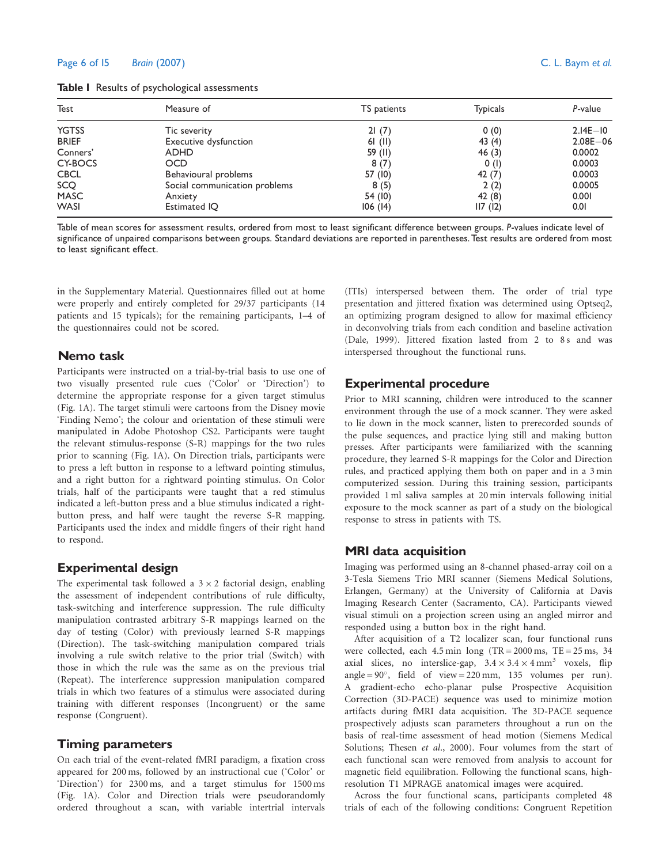#### Page 6 of 15 Brain (2007) C. L. Baym et al.

|  |  |  |  |  |  | <b>Table I</b> Results of psychological assessments |
|--|--|--|--|--|--|-----------------------------------------------------|
|--|--|--|--|--|--|-----------------------------------------------------|

| <b>Test</b>  | Measure of                    | TS patients | Typicals | P-value      |
|--------------|-------------------------------|-------------|----------|--------------|
| <b>YGTSS</b> | Tic severity                  | 21(7)       | 0(0)     | $2.14E - 10$ |
| <b>BRIEF</b> | Executive dysfunction         | $61$ (II)   | 43 $(4)$ | $2.08E - 06$ |
| Conners'     | <b>ADHD</b>                   | 59 (II)     | 46(3)    | 0.0002       |
| CY-BOCS      | <b>OCD</b>                    | 8(7)        | 0(1)     | 0.0003       |
| <b>CBCL</b>  | Behavioural problems          | 57 (10)     | 42 $(7)$ | 0.0003       |
| SCQ          | Social communication problems | 8(5)        | 2(2)     | 0.0005       |
| <b>MASC</b>  | Anxiety                       | 54 (10)     | 42(8)    | 0.001        |
| <b>WASI</b>  | Estimated IQ                  | 106(14)     | 117(12)  | 0.01         |

Table of mean scores for assessment results, ordered from most to least significant difference between groups. P-values indicate level of significance of unpaired comparisons between groups. Standard deviations are reported in parentheses.Test results are ordered from most to least significant effect.

in the Supplementary Material. Questionnaires filled out at home were properly and entirely completed for 29/37 participants (14 patients and 15 typicals); for the remaining participants, 1–4 of the questionnaires could not be scored.

## Nemo task

Participants were instructed on a trial-by-trial basis to use one of two visually presented rule cues ('Color' or 'Direction') to determine the appropriate response for a given target stimulus (Fig. 1A). The target stimuli were cartoons from the Disney movie 'Finding Nemo'; the colour and orientation of these stimuli were manipulated in Adobe Photoshop CS2. Participants were taught the relevant stimulus-response (S-R) mappings for the two rules prior to scanning (Fig. 1A). On Direction trials, participants were to press a left button in response to a leftward pointing stimulus, and a right button for a rightward pointing stimulus. On Color trials, half of the participants were taught that a red stimulus indicated a left-button press and a blue stimulus indicated a rightbutton press, and half were taught the reverse S-R mapping. Participants used the index and middle fingers of their right hand to respond.

#### Experimental design

The experimental task followed a  $3 \times 2$  factorial design, enabling the assessment of independent contributions of rule difficulty, task-switching and interference suppression. The rule difficulty manipulation contrasted arbitrary S-R mappings learned on the day of testing (Color) with previously learned S-R mappings (Direction). The task-switching manipulation compared trials involving a rule switch relative to the prior trial (Switch) with those in which the rule was the same as on the previous trial (Repeat). The interference suppression manipulation compared trials in which two features of a stimulus were associated during training with different responses (Incongruent) or the same response (Congruent).

## Timing parameters

On each trial of the event-related fMRI paradigm, a fixation cross appeared for 200 ms, followed by an instructional cue ('Color' or 'Direction') for 2300 ms, and a target stimulus for 1500 ms (Fig. 1A). Color and Direction trials were pseudorandomly ordered throughout a scan, with variable intertrial intervals

(ITIs) interspersed between them. The order of trial type presentation and jittered fixation was determined using Optseq2, an optimizing program designed to allow for maximal efficiency in deconvolving trials from each condition and baseline activation (Dale, 1999). Jittered fixation lasted from 2 to 8s and was interspersed throughout the functional runs.

## Experimental procedure

Prior to MRI scanning, children were introduced to the scanner environment through the use of a mock scanner. They were asked to lie down in the mock scanner, listen to prerecorded sounds of the pulse sequences, and practice lying still and making button presses. After participants were familiarized with the scanning procedure, they learned S-R mappings for the Color and Direction rules, and practiced applying them both on paper and in a 3 min computerized session. During this training session, participants provided 1 ml saliva samples at 20 min intervals following initial exposure to the mock scanner as part of a study on the biological response to stress in patients with TS.

## MRI data acquisition

Imaging was performed using an 8-channel phased-array coil on a 3-Tesla Siemens Trio MRI scanner (Siemens Medical Solutions, Erlangen, Germany) at the University of California at Davis Imaging Research Center (Sacramento, CA). Participants viewed visual stimuli on a projection screen using an angled mirror and responded using a button box in the right hand.

After acquisition of a T2 localizer scan, four functional runs were collected, each  $4.5$  min long (TR = 2000 ms, TE = 25 ms, 34) axial slices, no interslice-gap,  $3.4 \times 3.4 \times 4 \text{ mm}^3$  voxels, flip angle =  $90^{\circ}$ , field of view = 220 mm, 135 volumes per run). A gradient-echo echo-planar pulse Prospective Acquisition Correction (3D-PACE) sequence was used to minimize motion artifacts during fMRI data acquisition. The 3D-PACE sequence prospectively adjusts scan parameters throughout a run on the basis of real-time assessment of head motion (Siemens Medical Solutions; Thesen et al., 2000). Four volumes from the start of each functional scan were removed from analysis to account for magnetic field equilibration. Following the functional scans, highresolution T1 MPRAGE anatomical images were acquired.

Across the four functional scans, participants completed 48 trials of each of the following conditions: Congruent Repetition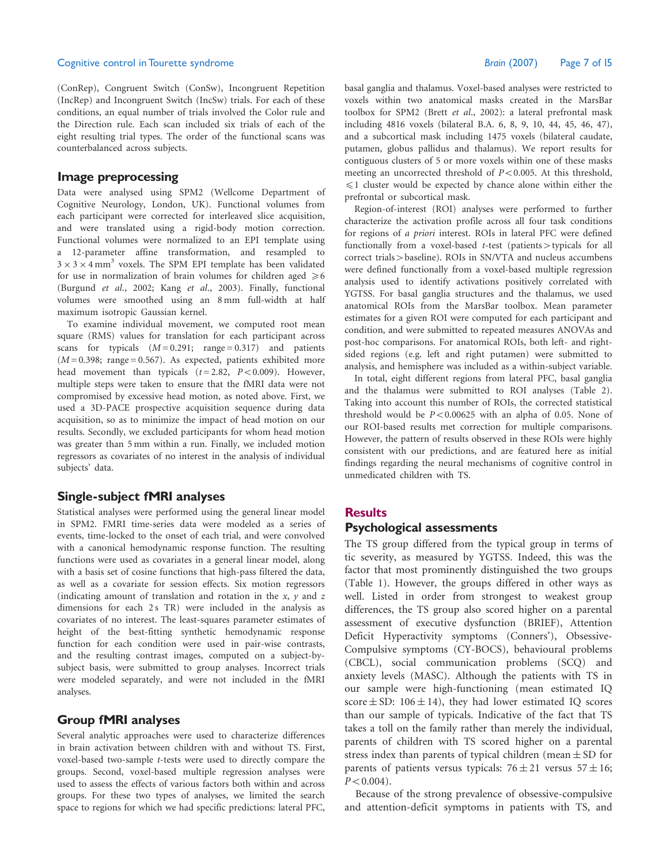#### Cognitive control in Tourette syndrome **Brain (2007)** Page 7 of 15

(ConRep), Congruent Switch (ConSw), Incongruent Repetition (IncRep) and Incongruent Switch (IncSw) trials. For each of these conditions, an equal number of trials involved the Color rule and the Direction rule. Each scan included six trials of each of the eight resulting trial types. The order of the functional scans was counterbalanced across subjects.

## Image preprocessing

Data were analysed using SPM2 (Wellcome Department of Cognitive Neurology, London, UK). Functional volumes from each participant were corrected for interleaved slice acquisition, and were translated using a rigid-body motion correction. Functional volumes were normalized to an EPI template using a 12-parameter affine transformation, and resampled to  $3 \times 3 \times 4$  mm<sup>3</sup> voxels. The SPM EPI template has been validated for use in normalization of brain volumes for children aged  $\geq 6$ (Burgund et al., 2002; Kang et al., 2003). Finally, functional volumes were smoothed using an 8 mm full-width at half maximum isotropic Gaussian kernel.

To examine individual movement, we computed root mean square (RMS) values for translation for each participant across scans for typicals  $(M=0.291; \text{range}=0.317)$  and patients  $(M=0.398;$  range = 0.567). As expected, patients exhibited more head movement than typicals  $(t = 2.82, P < 0.009)$ . However, multiple steps were taken to ensure that the fMRI data were not compromised by excessive head motion, as noted above. First, we used a 3D-PACE prospective acquisition sequence during data acquisition, so as to minimize the impact of head motion on our results. Secondly, we excluded participants for whom head motion was greater than 5 mm within a run. Finally, we included motion regressors as covariates of no interest in the analysis of individual subjects' data.

## Single-subject fMRI analyses

Statistical analyses were performed using the general linear model in SPM2. FMRI time-series data were modeled as a series of events, time-locked to the onset of each trial, and were convolved with a canonical hemodynamic response function. The resulting functions were used as covariates in a general linear model, along with a basis set of cosine functions that high-pass filtered the data, as well as a covariate for session effects. Six motion regressors (indicating amount of translation and rotation in the  $x$ ,  $y$  and  $z$ dimensions for each 2s TR) were included in the analysis as covariates of no interest. The least-squares parameter estimates of height of the best-fitting synthetic hemodynamic response function for each condition were used in pair-wise contrasts, and the resulting contrast images, computed on a subject-bysubject basis, were submitted to group analyses. Incorrect trials were modeled separately, and were not included in the fMRI analyses.

#### Group fMRI analyses

Several analytic approaches were used to characterize differences in brain activation between children with and without TS. First, voxel-based two-sample t-tests were used to directly compare the groups. Second, voxel-based multiple regression analyses were used to assess the effects of various factors both within and across groups. For these two types of analyses, we limited the search space to regions for which we had specific predictions: lateral PFC,

basal ganglia and thalamus. Voxel-based analyses were restricted to voxels within two anatomical masks created in the MarsBar toolbox for SPM2 (Brett et al., 2002): a lateral prefrontal mask including 4816 voxels (bilateral B.A. 6, 8, 9, 10, 44, 45, 46, 47), and a subcortical mask including 1475 voxels (bilateral caudate, putamen, globus pallidus and thalamus). We report results for contiguous clusters of 5 or more voxels within one of these masks meeting an uncorrected threshold of  $P<0.005$ . At this threshold,  $\leq 1$  cluster would be expected by chance alone within either the prefrontal or subcortical mask.

Region-of-interest (ROI) analyses were performed to further characterize the activation profile across all four task conditions for regions of a priori interest. ROIs in lateral PFC were defined functionally from a voxel-based *t*-test (patients $>$ typicals for all correct trials > baseline). ROIs in SN/VTA and nucleus accumbens were defined functionally from a voxel-based multiple regression analysis used to identify activations positively correlated with YGTSS. For basal ganglia structures and the thalamus, we used anatomical ROIs from the MarsBar toolbox. Mean parameter estimates for a given ROI were computed for each participant and condition, and were submitted to repeated measures ANOVAs and post-hoc comparisons. For anatomical ROIs, both left- and rightsided regions (e.g. left and right putamen) were submitted to analysis, and hemisphere was included as a within-subject variable.

In total, eight different regions from lateral PFC, basal ganglia and the thalamus were submitted to ROI analyses (Table 2). Taking into account this number of ROIs, the corrected statistical threshold would be  $P < 0.00625$  with an alpha of 0.05. None of our ROI-based results met correction for multiple comparisons. However, the pattern of results observed in these ROIs were highly consistent with our predictions, and are featured here as initial findings regarding the neural mechanisms of cognitive control in unmedicated children with TS.

## **Results**

## Psychological assessments

The TS group differed from the typical group in terms of tic severity, as measured by YGTSS. Indeed, this was the factor that most prominently distinguished the two groups (Table 1). However, the groups differed in other ways as well. Listed in order from strongest to weakest group differences, the TS group also scored higher on a parental assessment of executive dysfunction (BRIEF), Attention Deficit Hyperactivity symptoms (Conners'), Obsessive-Compulsive symptoms (CY-BOCS), behavioural problems (CBCL), social communication problems (SCQ) and anxiety levels (MASC). Although the patients with TS in our sample were high-functioning (mean estimated IQ score  $\pm$  SD: 106  $\pm$  14), they had lower estimated IQ scores than our sample of typicals. Indicative of the fact that TS takes a toll on the family rather than merely the individual, parents of children with TS scored higher on a parental stress index than parents of typical children (mean  $\pm$  SD for parents of patients versus typicals:  $76 \pm 21$  versus  $57 \pm 16$ ;  $P < 0.004$ ).

Because of the strong prevalence of obsessive-compulsive and attention-deficit symptoms in patients with TS, and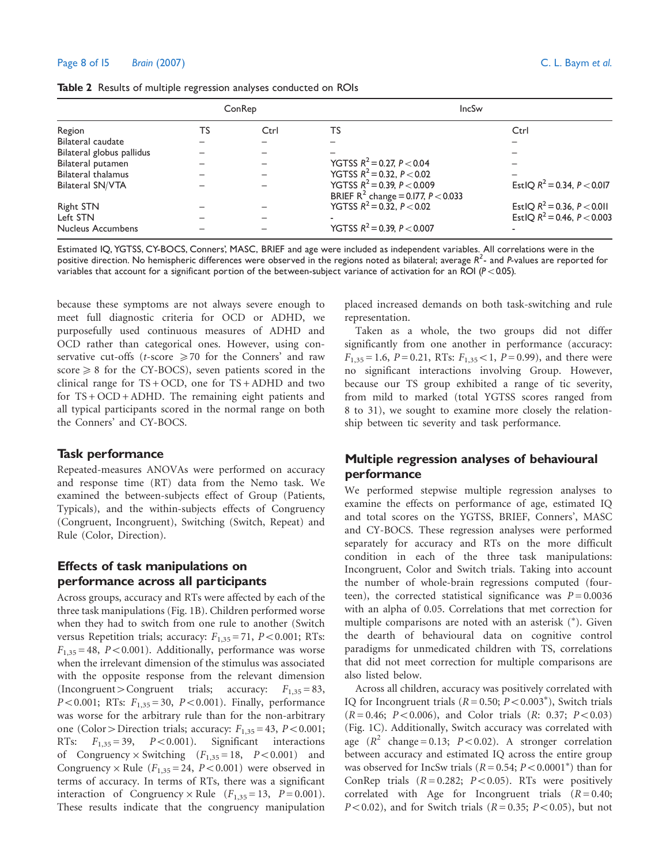#### Page 8 of 15 Brain (2007) C. L. Baym et al.

|                           |    | ConRep | IncSw                                   |                                 |  |
|---------------------------|----|--------|-----------------------------------------|---------------------------------|--|
| Region                    | TS | Ctrl   | TS                                      | Ctrl                            |  |
| Bilateral caudate         |    |        |                                         |                                 |  |
| Bilateral globus pallidus |    |        |                                         |                                 |  |
| Bilateral putamen         |    |        | YGTSS $R^2$ = 0.27, $P < 0.04$          |                                 |  |
| <b>Bilateral thalamus</b> |    |        | YGTSS $R^2 = 0.32$ , $P < 0.02$         |                                 |  |
| Bilateral SN/VTA          |    |        | YGTSS $R^2$ = 0.39, $P < 0.009$         | EstlQ $R^2$ = 0.34, $P < 0.017$ |  |
|                           |    |        | BRIEF $R^2$ change = 0.177, $P < 0.033$ |                                 |  |
| Right STN                 |    |        | YGTSS $R^2 = 0.32$ , $P < 0.02$         | EstlQ $R^2$ = 0.36, P < 0.011   |  |
| Left STN                  |    |        |                                         | EstIO $R^2$ = 0.46, $P < 0.003$ |  |
| <b>Nucleus Accumbens</b>  |    |        | YGTSS $R^2 = 0.39$ , $P < 0.007$        | ٠                               |  |

Table 2 Results of multiple regression analyses conducted on ROIs

Estimated IQ, YGTSS, CY-BOCS, Conners', MASC, BRIEF and age were included as independent variables. All correlations were in the positive direction. No hemispheric differences were observed in the regions noted as bilateral; average  $R^2$ - and P-values are reported for variables that account for a significant portion of the between-subject variance of activation for an ROI ( $P < 0.05$ ).

because these symptoms are not always severe enough to meet full diagnostic criteria for OCD or ADHD, we purposefully used continuous measures of ADHD and OCD rather than categorical ones. However, using conservative cut-offs (*t*-score  $\geq 70$  for the Conners' and raw score  $\geq 8$  for the CY-BOCS), seven patients scored in the clinical range for  $TS + OCD$ , one for  $TS + ADHD$  and two for TS + OCD + ADHD. The remaining eight patients and all typical participants scored in the normal range on both the Conners' and CY-BOCS.

## Task performance

Repeated-measures ANOVAs were performed on accuracy and response time (RT) data from the Nemo task. We examined the between-subjects effect of Group (Patients, Typicals), and the within-subjects effects of Congruency (Congruent, Incongruent), Switching (Switch, Repeat) and Rule (Color, Direction).

# Effects of task manipulations on performance across all participants

Across groups, accuracy and RTs were affected by each of the three task manipulations (Fig. 1B). Children performed worse when they had to switch from one rule to another (Switch versus Repetition trials; accuracy:  $F_{1,35} = 71$ ,  $P < 0.001$ ; RTs:  $F_{1,35} = 48$ ,  $P < 0.001$ ). Additionally, performance was worse when the irrelevant dimension of the stimulus was associated with the opposite response from the relevant dimension (Incongruent > Congruent trials; accuracy:  $F_{1,35} = 83$ ,  $P < 0.001$ ; RTs:  $F_{1,35} = 30$ ,  $P < 0.001$ ). Finally, performance was worse for the arbitrary rule than for the non-arbitrary one (Color > Direction trials; accuracy:  $F_{1,35} = 43$ ,  $P < 0.001$ ; RTs:  $F_{1,35} = 39$ ,  $P < 0.001$ ). Significant interactions of Congruency  $\times$  Switching  $(F_{1,35} = 18, P < 0.001)$  and Congruency  $\times$  Rule ( $F_{1,35}$  = 24,  $P$  < 0.001) were observed in terms of accuracy. In terms of RTs, there was a significant interaction of Congruency  $\times$  Rule  $(F_{1,35} = 13, P = 0.001)$ . These results indicate that the congruency manipulation

placed increased demands on both task-switching and rule representation.

Taken as a whole, the two groups did not differ significantly from one another in performance (accuracy:  $F_{1,35} = 1.6$ ,  $P = 0.21$ , RTs:  $F_{1,35} < 1$ ,  $P = 0.99$ ), and there were no significant interactions involving Group. However, because our TS group exhibited a range of tic severity, from mild to marked (total YGTSS scores ranged from 8 to 31), we sought to examine more closely the relationship between tic severity and task performance.

# Multiple regression analyses of behavioural performance

We performed stepwise multiple regression analyses to examine the effects on performance of age, estimated IQ and total scores on the YGTSS, BRIEF, Conners', MASC and CY-BOCS. These regression analyses were performed separately for accuracy and RTs on the more difficult condition in each of the three task manipulations: Incongruent, Color and Switch trials. Taking into account the number of whole-brain regressions computed (fourteen), the corrected statistical significance was  $P = 0.0036$ with an alpha of 0.05. Correlations that met correction for multiple comparisons are noted with an asterisk (\*). Given the dearth of behavioural data on cognitive control paradigms for unmedicated children with TS, correlations that did not meet correction for multiple comparisons are also listed below.

Across all children, accuracy was positively correlated with IQ for Incongruent trials  $(R = 0.50; P < 0.003^*)$ , Switch trials  $(R = 0.46; P < 0.006)$ , and Color trials  $(R: 0.37; P < 0.03)$ (Fig. 1C). Additionally, Switch accuracy was correlated with age  $(R^2 \text{ change} = 0.13; P < 0.02)$ . A stronger correlation between accuracy and estimated IQ across the entire group was observed for IncSw trials  $(R = 0.54; P < 0.0001^*)$  than for ConRep trials  $(R = 0.282; P < 0.05)$ . RTs were positively correlated with Age for Incongruent trials  $(R = 0.40;$  $P<0.02$ ), and for Switch trials ( $R = 0.35$ ;  $P<0.05$ ), but not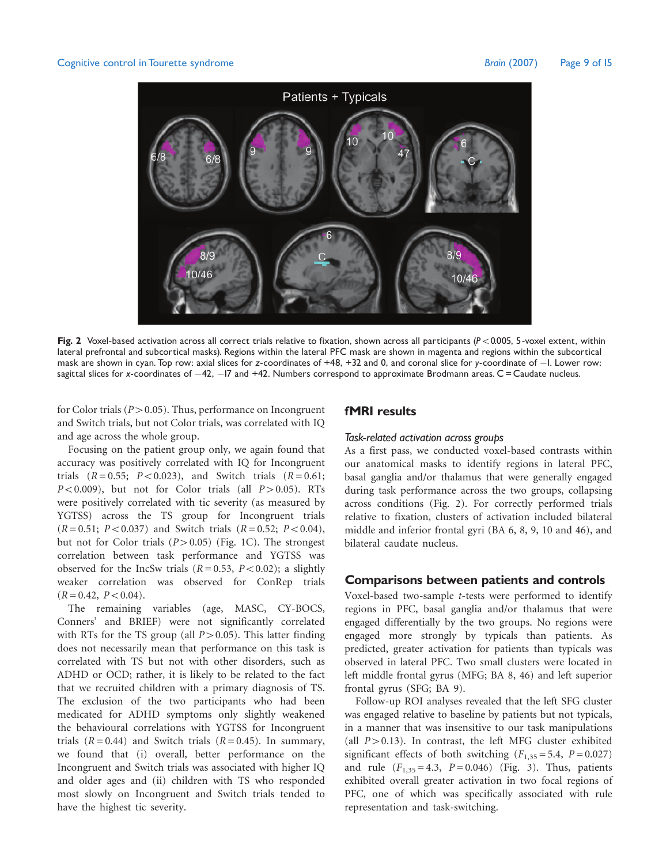

Fig. 2 Voxel-based activation across all correct trials relative to fixation, shown across all participants ( $P < 0.005$ , 5 -voxel extent, within lateral prefrontal and subcortical masks). Regions within the lateral PFC mask are shown in magenta and regions within the subcortical mask are shown in cyan. Top row: axial slices for z-coordinates of +48, +32 and 0, and coronal slice for y-coordinate of -1. Lower row: sagittal slices for x-coordinates of  $-42$ ,  $-17$  and  $+42$ . Numbers correspond to approximate Brodmann areas. C = Caudate nucleus.

for Color trials ( $P > 0.05$ ). Thus, performance on Incongruent and Switch trials, but not Color trials, was correlated with IQ and age across the whole group.

Focusing on the patient group only, we again found that accuracy was positively correlated with IQ for Incongruent trials  $(R = 0.55; P < 0.023)$ , and Switch trials  $(R = 0.61;$  $P<0.009$ ), but not for Color trials (all  $P>0.05$ ). RTs were positively correlated with tic severity (as measured by YGTSS) across the TS group for Incongruent trials  $(R = 0.51; P < 0.037)$  and Switch trials  $(R = 0.52; P < 0.04)$ , but not for Color trials  $(P>0.05)$  (Fig. 1C). The strongest correlation between task performance and YGTSS was observed for the IncSw trials ( $R = 0.53$ ,  $P < 0.02$ ); a slightly weaker correlation was observed for ConRep trials  $(R = 0.42, P < 0.04).$ 

The remaining variables (age, MASC, CY-BOCS, Conners' and BRIEF) were not significantly correlated with RTs for the TS group (all  $P > 0.05$ ). This latter finding does not necessarily mean that performance on this task is correlated with TS but not with other disorders, such as ADHD or OCD; rather, it is likely to be related to the fact that we recruited children with a primary diagnosis of TS. The exclusion of the two participants who had been medicated for ADHD symptoms only slightly weakened the behavioural correlations with YGTSS for Incongruent trials  $(R = 0.44)$  and Switch trials  $(R = 0.45)$ . In summary, we found that (i) overall, better performance on the Incongruent and Switch trials was associated with higher IQ and older ages and (ii) children with TS who responded most slowly on Incongruent and Switch trials tended to have the highest tic severity.

## fMRI results

#### Task-related activation across groups

As a first pass, we conducted voxel-based contrasts within our anatomical masks to identify regions in lateral PFC, basal ganglia and/or thalamus that were generally engaged during task performance across the two groups, collapsing across conditions (Fig. 2). For correctly performed trials relative to fixation, clusters of activation included bilateral middle and inferior frontal gyri (BA 6, 8, 9, 10 and 46), and bilateral caudate nucleus.

#### Comparisons between patients and controls

Voxel-based two-sample t-tests were performed to identify regions in PFC, basal ganglia and/or thalamus that were engaged differentially by the two groups. No regions were engaged more strongly by typicals than patients. As predicted, greater activation for patients than typicals was observed in lateral PFC. Two small clusters were located in left middle frontal gyrus (MFG; BA 8, 46) and left superior frontal gyrus (SFG; BA 9).

Follow-up ROI analyses revealed that the left SFG cluster was engaged relative to baseline by patients but not typicals, in a manner that was insensitive to our task manipulations (all  $P > 0.13$ ). In contrast, the left MFG cluster exhibited significant effects of both switching ( $F_{1,35} = 5.4$ ,  $P = 0.027$ ) and rule  $(F_{1,35} = 4.3, P = 0.046)$  (Fig. 3). Thus, patients exhibited overall greater activation in two focal regions of PFC, one of which was specifically associated with rule representation and task-switching.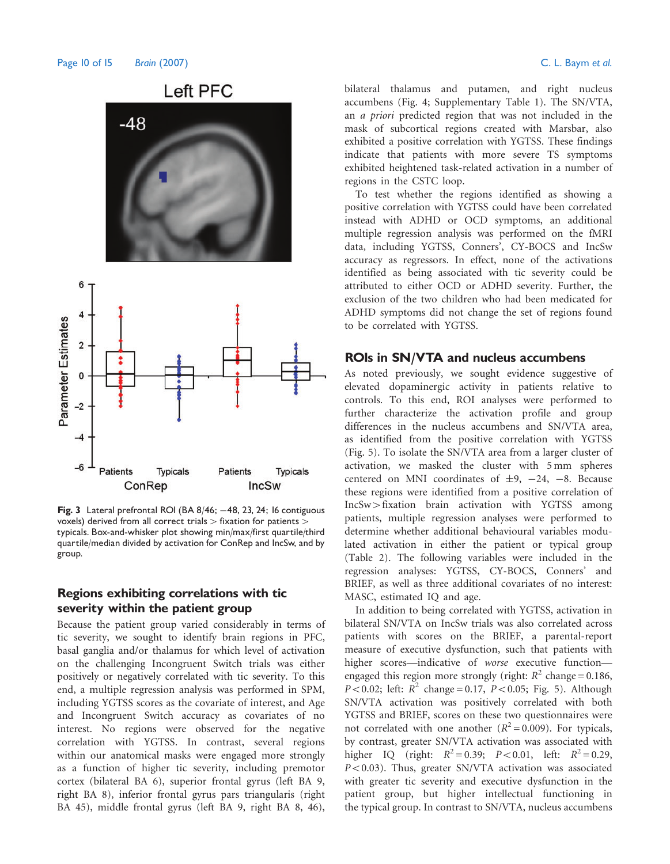

Fig. 3 Lateral prefrontal ROI (BA  $8/46$ ;  $-48$ , 23, 24; 16 contiguous voxels) derived from all correct trials  $>$  fixation for patients  $>$ typicals. Box-and-whisker plot showing min/max/first quartile/third quartile/median divided by activation for ConRep and IncSw, and by group.

# Regions exhibiting correlations with tic severity within the patient group

Because the patient group varied considerably in terms of tic severity, we sought to identify brain regions in PFC, basal ganglia and/or thalamus for which level of activation on the challenging Incongruent Switch trials was either positively or negatively correlated with tic severity. To this end, a multiple regression analysis was performed in SPM, including YGTSS scores as the covariate of interest, and Age and Incongruent Switch accuracy as covariates of no interest. No regions were observed for the negative correlation with YGTSS. In contrast, several regions within our anatomical masks were engaged more strongly as a function of higher tic severity, including premotor cortex (bilateral BA 6), superior frontal gyrus (left BA 9, right BA 8), inferior frontal gyrus pars triangularis (right BA 45), middle frontal gyrus (left BA 9, right BA 8, 46),

bilateral thalamus and putamen, and right nucleus accumbens (Fig. 4; Supplementary Table 1). The SN/VTA, an a priori predicted region that was not included in the mask of subcortical regions created with Marsbar, also exhibited a positive correlation with YGTSS. These findings indicate that patients with more severe TS symptoms exhibited heightened task-related activation in a number of regions in the CSTC loop.

To test whether the regions identified as showing a positive correlation with YGTSS could have been correlated instead with ADHD or OCD symptoms, an additional multiple regression analysis was performed on the fMRI data, including YGTSS, Conners', CY-BOCS and IncSw accuracy as regressors. In effect, none of the activations identified as being associated with tic severity could be attributed to either OCD or ADHD severity. Further, the exclusion of the two children who had been medicated for ADHD symptoms did not change the set of regions found to be correlated with YGTSS.

## ROIs in SN/VTA and nucleus accumbens

As noted previously, we sought evidence suggestive of elevated dopaminergic activity in patients relative to controls. To this end, ROI analyses were performed to further characterize the activation profile and group differences in the nucleus accumbens and SN/VTA area, as identified from the positive correlation with YGTSS (Fig. 5). To isolate the SN/VTA area from a larger cluster of activation, we masked the cluster with 5 mm spheres centered on MNI coordinates of  $\pm$ 9, -24, -8. Because these regions were identified from a positive correlation of IncSw4fixation brain activation with YGTSS among patients, multiple regression analyses were performed to determine whether additional behavioural variables modulated activation in either the patient or typical group (Table 2). The following variables were included in the regression analyses: YGTSS, CY-BOCS, Conners' and BRIEF, as well as three additional covariates of no interest: MASC, estimated IQ and age.

In addition to being correlated with YGTSS, activation in bilateral SN/VTA on IncSw trials was also correlated across patients with scores on the BRIEF, a parental-report measure of executive dysfunction, such that patients with higher scores—indicative of worse executive function engaged this region more strongly (right:  $R^2$  change = 0.186,  $P < 0.02$ ; left:  $R^2$  change = 0.17,  $P < 0.05$ ; Fig. 5). Although SN/VTA activation was positively correlated with both YGTSS and BRIEF, scores on these two questionnaires were not correlated with one another  $(R^2 = 0.009)$ . For typicals, by contrast, greater SN/VTA activation was associated with higher IQ (right:  $R^2 = 0.39$ ;  $P < 0.01$ , left:  $R^2 = 0.29$ ,  $P<0.03$ ). Thus, greater SN/VTA activation was associated with greater tic severity and executive dysfunction in the patient group, but higher intellectual functioning in the typical group. In contrast to SN/VTA, nucleus accumbens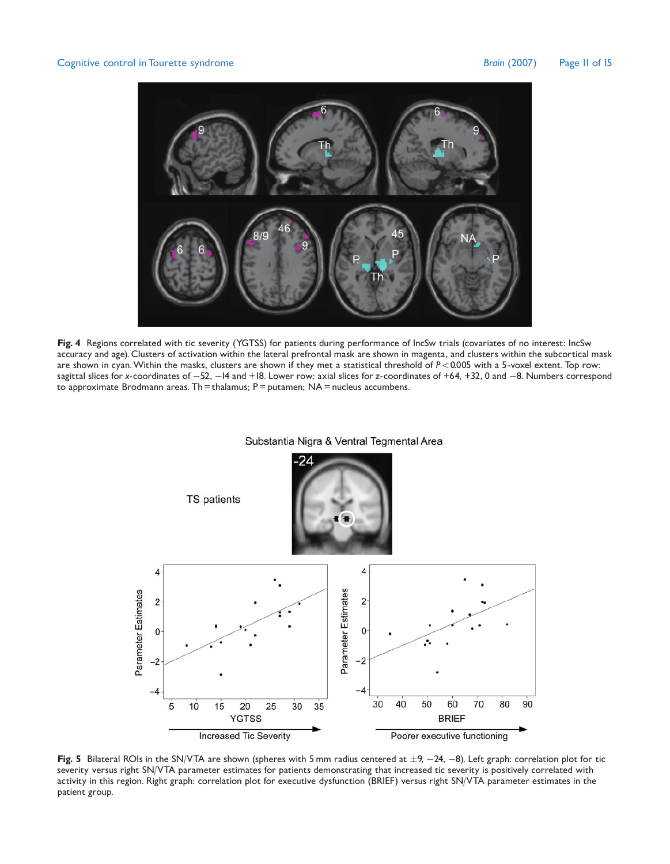

Fig. 4 Regions correlated with tic severity (YGTSS) for patients during performance of lncSw trials (covariates of no interest: lncSw accuracy and age). Clusters of activation within the lateral prefrontal mask are shown in magenta, and clusters within the subcortical mask are shown in cyan. Within the masks, clusters are shown if they met a statistical threshold of  $P < 0.005$  with a 5-voxel extent. Top row: sagittal slices for x-coordinates of  $-52$ ,  $-14$  and  $+18$ . Lower row: axial slices for z-coordinates of  $+64$ ,  $+32$ , 0 and  $-8$ . Numbers correspond to approximate Brodmann areas. Th = thalamus; P = putamen; NA = nucleus accumbens.



## Substantia Nigra & Ventral Tegmental Area

Fig. 5 Bilateral ROIs in the SN/VTA are shown (spheres with 5 mm radius centered at  $\pm 9$ ,  $-24$ ,  $-8$ ). Left graph: correlation plot for tic severity versus right SN/VTA parameter estimates for patients demonstrating that increased tic severity is positively correlated with activity in this region. Right graph: correlation plot for executive dysfunction (BRIEF) versus right SN/VTA parameter estimates in the patient group.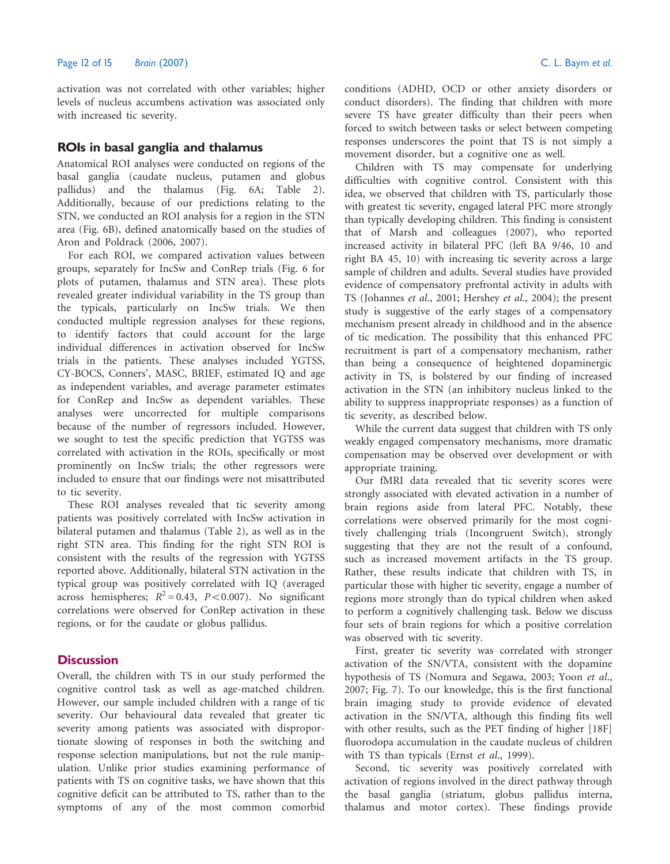activation was not correlated with other variables; higher levels of nucleus accumbens activation was associated only with increased tic severity.

## ROIs in basal ganglia and thalamus

Anatomical ROI analyses were conducted on regions of the basal ganglia (caudate nucleus, putamen and globus pallidus) and the thalamus (Fig. 6A; Table 2). Additionally, because of our predictions relating to the STN, we conducted an ROI analysis for a region in the STN area (Fig. 6B), defined anatomically based on the studies of Aron and Poldrack (2006, 2007).

For each ROI, we compared activation values between groups, separately for IncSw and ConRep trials (Fig. 6 for plots of putamen, thalamus and STN area). These plots revealed greater individual variability in the TS group than the typicals, particularly on IncSw trials. We then conducted multiple regression analyses for these regions, to identify factors that could account for the large individual differences in activation observed for IncSw trials in the patients. These analyses included YGTSS, CY-BOCS, Conners', MASC, BRIEF, estimated IQ and age as independent variables, and average parameter estimates for ConRep and IncSw as dependent variables. These analyses were uncorrected for multiple comparisons because of the number of regressors included. However, we sought to test the specific prediction that YGTSS was correlated with activation in the ROIs, specifically or most prominently on IncSw trials; the other regressors were included to ensure that our findings were not misattributed to tic severity.

These ROI analyses revealed that tic severity among patients was positively correlated with IncSw activation in bilateral putamen and thalamus (Table 2), as well as in the right STN area. This finding for the right STN ROI is consistent with the results of the regression with YGTSS reported above. Additionally, bilateral STN activation in the typical group was positively correlated with IQ (averaged across hemispheres;  $R^2 = 0.43$ ,  $P < 0.007$ ). No significant correlations were observed for ConRep activation in these regions, or for the caudate or globus pallidus.

## **Discussion**

Overall, the children with TS in our study performed the cognitive control task as well as age-matched children. However, our sample included children with a range of tic severity. Our behavioural data revealed that greater tic severity among patients was associated with disproportionate slowing of responses in both the switching and response selection manipulations, but not the rule manipulation. Unlike prior studies examining performance of patients with TS on cognitive tasks, we have shown that this cognitive deficit can be attributed to TS, rather than to the symptoms of any of the most common comorbid

conditions (ADHD, OCD or other anxiety disorders or conduct disorders). The finding that children with more severe TS have greater difficulty than their peers when forced to switch between tasks or select between competing responses underscores the point that TS is not simply a movement disorder, but a cognitive one as well.

Children with TS may compensate for underlying difficulties with cognitive control. Consistent with this idea, we observed that children with TS, particularly those with greatest tic severity, engaged lateral PFC more strongly than typically developing children. This finding is consistent that of Marsh and colleagues (2007), who reported increased activity in bilateral PFC (left BA 9/46, 10 and right BA 45, 10) with increasing tic severity across a large sample of children and adults. Several studies have provided evidence of compensatory prefrontal activity in adults with TS (Johannes et al., 2001; Hershey et al., 2004); the present study is suggestive of the early stages of a compensatory mechanism present already in childhood and in the absence of tic medication. The possibility that this enhanced PFC recruitment is part of a compensatory mechanism, rather than being a consequence of heightened dopaminergic activity in TS, is bolstered by our finding of increased activation in the STN (an inhibitory nucleus linked to the ability to suppress inappropriate responses) as a function of tic severity, as described below.

While the current data suggest that children with TS only weakly engaged compensatory mechanisms, more dramatic compensation may be observed over development or with appropriate training.

Our fMRI data revealed that tic severity scores were strongly associated with elevated activation in a number of brain regions aside from lateral PFC. Notably, these correlations were observed primarily for the most cognitively challenging trials (Incongruent Switch), strongly suggesting that they are not the result of a confound, such as increased movement artifacts in the TS group. Rather, these results indicate that children with TS, in particular those with higher tic severity, engage a number of regions more strongly than do typical children when asked to perform a cognitively challenging task. Below we discuss four sets of brain regions for which a positive correlation was observed with tic severity.

First, greater tic severity was correlated with stronger activation of the SN/VTA, consistent with the dopamine hypothesis of TS (Nomura and Segawa, 2003; Yoon et al., 2007; Fig. 7). To our knowledge, this is the first functional brain imaging study to provide evidence of elevated activation in the SN/VTA, although this finding fits well with other results, such as the PET finding of higher [18F] fluorodopa accumulation in the caudate nucleus of children with TS than typicals (Ernst et al., 1999).

Second, tic severity was positively correlated with activation of regions involved in the direct pathway through the basal ganglia (striatum, globus pallidus interna, thalamus and motor cortex). These findings provide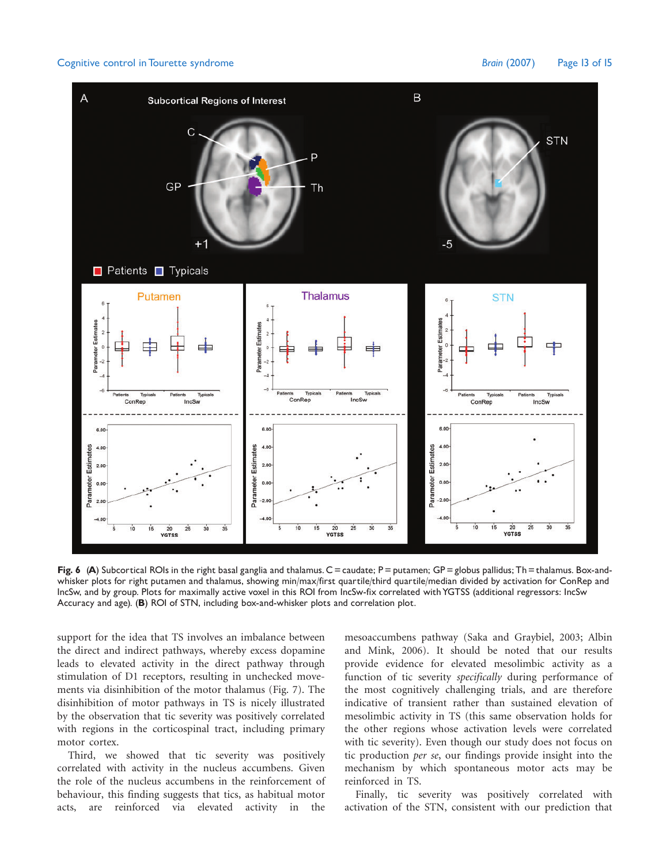#### Cognitive control in Tourette syndrome Cognitive Cognitive Cognitive Cognitive Control in Tourette syndrome



Fig. 6 (A) Subcortical ROIs in the right basal ganglia and thalamus.  $C =$  caudate;  $P =$  putamen; GP = globus pallidus; Th = thalamus. Box-andwhisker plots for right putamen and thalamus, showing min/max/first quartile/third quartile/median divided by activation for ConRep and IncSw, and by group. Plots for maximally active voxel in this ROI from IncSw-fix correlated withYGTSS (additional regressors: IncSw Accuracy and age). (B) ROI of STN, including box-and-whisker plots and correlation plot.

support for the idea that TS involves an imbalance between the direct and indirect pathways, whereby excess dopamine leads to elevated activity in the direct pathway through stimulation of D1 receptors, resulting in unchecked movements via disinhibition of the motor thalamus (Fig. 7). The disinhibition of motor pathways in TS is nicely illustrated by the observation that tic severity was positively correlated with regions in the corticospinal tract, including primary motor cortex.

Third, we showed that tic severity was positively correlated with activity in the nucleus accumbens. Given the role of the nucleus accumbens in the reinforcement of behaviour, this finding suggests that tics, as habitual motor acts, are reinforced via elevated activity in the

mesoaccumbens pathway (Saka and Graybiel, 2003; Albin and Mink, 2006). It should be noted that our results provide evidence for elevated mesolimbic activity as a function of tic severity specifically during performance of the most cognitively challenging trials, and are therefore indicative of transient rather than sustained elevation of mesolimbic activity in TS (this same observation holds for the other regions whose activation levels were correlated with tic severity). Even though our study does not focus on tic production per se, our findings provide insight into the mechanism by which spontaneous motor acts may be reinforced in TS.

Finally, tic severity was positively correlated with activation of the STN, consistent with our prediction that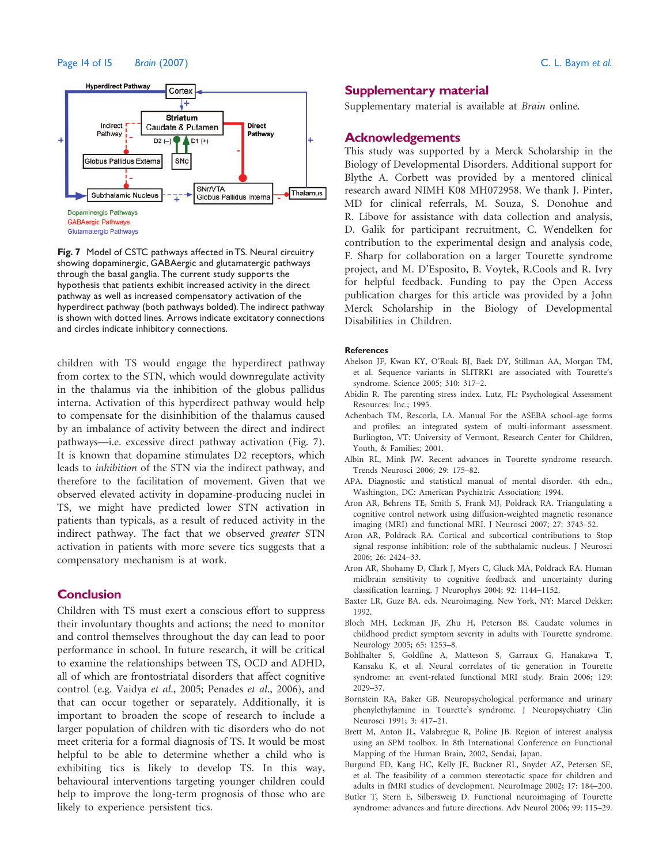#### Page 14 of 15 Brain (2007) C. L. Baym et al.



Fig. 7 Model of CSTC pathways affected in TS. Neural circuitry showing dopaminergic, GABAergic and glutamatergic pathways through the basal ganglia. The current study supports the hypothesis that patients exhibit increased activity in the direct pathway as well as increased compensatory activation of the hyperdirect pathway (both pathways bolded).The indirect pathway is shown with dotted lines. Arrows indicate excitatory connections and circles indicate inhibitory connections.

children with TS would engage the hyperdirect pathway from cortex to the STN, which would downregulate activity in the thalamus via the inhibition of the globus pallidus interna. Activation of this hyperdirect pathway would help to compensate for the disinhibition of the thalamus caused by an imbalance of activity between the direct and indirect pathways—i.e. excessive direct pathway activation (Fig. 7). It is known that dopamine stimulates D2 receptors, which leads to inhibition of the STN via the indirect pathway, and therefore to the facilitation of movement. Given that we observed elevated activity in dopamine-producing nuclei in TS, we might have predicted lower STN activation in patients than typicals, as a result of reduced activity in the indirect pathway. The fact that we observed greater STN activation in patients with more severe tics suggests that a compensatory mechanism is at work.

## **Conclusion**

Children with TS must exert a conscious effort to suppress their involuntary thoughts and actions; the need to monitor and control themselves throughout the day can lead to poor performance in school. In future research, it will be critical to examine the relationships between TS, OCD and ADHD, all of which are frontostriatal disorders that affect cognitive control (e.g. Vaidya et al., 2005; Penades et al., 2006), and that can occur together or separately. Additionally, it is important to broaden the scope of research to include a larger population of children with tic disorders who do not meet criteria for a formal diagnosis of TS. It would be most helpful to be able to determine whether a child who is exhibiting tics is likely to develop TS. In this way, behavioural interventions targeting younger children could help to improve the long-term prognosis of those who are likely to experience persistent tics.

## Supplementary material

Supplementary material is available at *Brain* online.

## Acknowledgements

This study was supported by a Merck Scholarship in the Biology of Developmental Disorders. Additional support for Blythe A. Corbett was provided by a mentored clinical research award NIMH K08 MH072958. We thank J. Pinter, MD for clinical referrals, M. Souza, S. Donohue and R. Libove for assistance with data collection and analysis, D. Galik for participant recruitment, C. Wendelken for contribution to the experimental design and analysis code, F. Sharp for collaboration on a larger Tourette syndrome project, and M. D'Esposito, B. Voytek, R.Cools and R. Ivry for helpful feedback. Funding to pay the Open Access publication charges for this article was provided by a John Merck Scholarship in the Biology of Developmental Disabilities in Children.

#### **References**

- Abelson JF, Kwan KY, O'Roak BJ, Baek DY, Stillman AA, Morgan TM, et al. Sequence variants in SLITRK1 are associated with Tourette's syndrome. Science 2005; 310: 317–2.
- Abidin R. The parenting stress index. Lutz, FL: Psychological Assessment Resources: Inc.; 1995.
- Achenbach TM, Rescorla, LA. Manual For the ASEBA school-age forms and profiles: an integrated system of multi-informant assessment. Burlington, VT: University of Vermont, Research Center for Children, Youth, & Families; 2001.
- Albin RL, Mink JW. Recent advances in Tourette syndrome research. Trends Neurosci 2006; 29: 175–82.
- APA. Diagnostic and statistical manual of mental disorder. 4th edn., Washington, DC: American Psychiatric Association; 1994.
- Aron AR, Behrens TE, Smith S, Frank MJ, Poldrack RA. Triangulating a cognitive control network using diffusion-weighted magnetic resonance imaging (MRI) and functional MRI. J Neurosci 2007; 27: 3743–52.
- Aron AR, Poldrack RA. Cortical and subcortical contributions to Stop signal response inhibition: role of the subthalamic nucleus. J Neurosci 2006; 26: 2424–33.
- Aron AR, Shohamy D, Clark J, Myers C, Gluck MA, Poldrack RA. Human midbrain sensitivity to cognitive feedback and uncertainty during classification learning. J Neurophys 2004; 92: 1144–1152.
- Baxter LR, Guze BA. eds. Neuroimaging. New York, NY: Marcel Dekker; 1992.
- Bloch MH, Leckman JF, Zhu H, Peterson BS. Caudate volumes in childhood predict symptom severity in adults with Tourette syndrome. Neurology 2005; 65: 1253–8.
- Bohlhalter S, Goldfine A, Matteson S, Garraux G, Hanakawa T, Kansaku K, et al. Neural correlates of tic generation in Tourette syndrome: an event-related functional MRI study. Brain 2006; 129: 2029–37.
- Bornstein RA, Baker GB. Neuropsychological performance and urinary phenylethylamine in Tourette's syndrome. J Neuropsychiatry Clin Neurosci 1991; 3: 417–21.
- Brett M, Anton JL, Valabregue R, Poline JB. Region of interest analysis using an SPM toolbox. In 8th International Conference on Functional Mapping of the Human Brain, 2002, Sendai, Japan.
- Burgund ED, Kang HC, Kelly JE, Buckner RL, Snyder AZ, Petersen SE, et al. The feasibility of a common stereotactic space for children and adults in fMRI studies of development. NeuroImage 2002; 17: 184–200.
- Butler T, Stern E, Silbersweig D. Functional neuroimaging of Tourette syndrome: advances and future directions. Adv Neurol 2006; 99: 115–29.